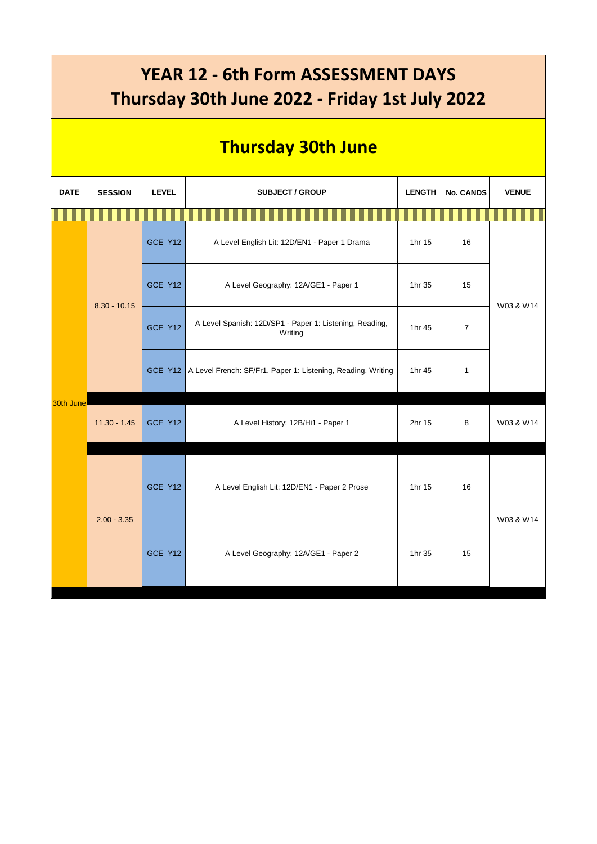## **YEAR 12 - 6th Form ASSESSMENT DAYS Thursday 30th June 2022 - Friday 1st July 2022**

## **Thursday 30th June**

| <b>DATE</b> | <b>SESSION</b> | <b>LEVEL</b> | <b>SUBJECT / GROUP</b>                                               | <b>LENGTH</b> | <b>No. CANDS</b> | <b>VENUE</b> |
|-------------|----------------|--------------|----------------------------------------------------------------------|---------------|------------------|--------------|
|             |                |              |                                                                      |               |                  |              |
| 30th June   | $8.30 - 10.15$ | GCE Y12      | A Level English Lit: 12D/EN1 - Paper 1 Drama                         | 1hr 15        | 16               | W03 & W14    |
|             |                | GCE Y12      | A Level Geography: 12A/GE1 - Paper 1                                 | 1hr 35        | 15               |              |
|             |                | GCE Y12      | A Level Spanish: 12D/SP1 - Paper 1: Listening, Reading,<br>Writing   | 1hr 45        | $\overline{7}$   |              |
|             |                |              | GCE Y12 A Level French: SF/Fr1. Paper 1: Listening, Reading, Writing | 1hr 45        | $\mathbf{1}$     |              |
|             | $11.30 - 1.45$ | GCE Y12      | A Level History: 12B/Hi1 - Paper 1                                   | 2hr 15        | 8                | W03 & W14    |
|             | $2.00 - 3.35$  | GCE Y12      | A Level English Lit: 12D/EN1 - Paper 2 Prose                         | 1hr 15        | 16               | W03 & W14    |
|             |                | GCE Y12      | A Level Geography: 12A/GE1 - Paper 2                                 | 1hr 35        | 15               |              |